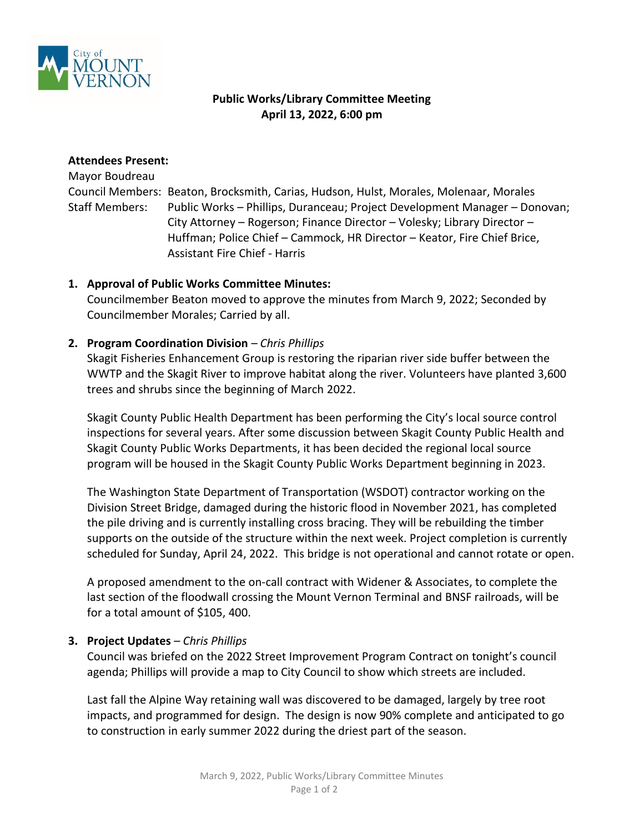

# **Public Works/Library Committee Meeting April 13, 2022, 6:00 pm**

### **Attendees Present:**

Mayor Boudreau Council Members: Beaton, Brocksmith, Carias, Hudson, Hulst, Morales, Molenaar, Morales Staff Members: Public Works – Phillips, Duranceau; Project Development Manager – Donovan; City Attorney – Rogerson; Finance Director – Volesky; Library Director – Huffman; Police Chief – Cammock, HR Director – Keator, Fire Chief Brice, Assistant Fire Chief - Harris

### **1. Approval of Public Works Committee Minutes:**

Councilmember Beaton moved to approve the minutes from March 9, 2022; Seconded by Councilmember Morales; Carried by all.

### **2. Program Coordination Division** *– Chris Phillips*

Skagit Fisheries Enhancement Group is restoring the riparian river side buffer between the WWTP and the Skagit River to improve habitat along the river. Volunteers have planted 3,600 trees and shrubs since the beginning of March 2022.

Skagit County Public Health Department has been performing the City's local source control inspections for several years. After some discussion between Skagit County Public Health and Skagit County Public Works Departments, it has been decided the regional local source program will be housed in the Skagit County Public Works Department beginning in 2023.

The Washington State Department of Transportation (WSDOT) contractor working on the Division Street Bridge, damaged during the historic flood in November 2021, has completed the pile driving and is currently installing cross bracing. They will be rebuilding the timber supports on the outside of the structure within the next week. Project completion is currently scheduled for Sunday, April 24, 2022. This bridge is not operational and cannot rotate or open.

A proposed amendment to the on-call contract with Widener & Associates, to complete the last section of the floodwall crossing the Mount Vernon Terminal and BNSF railroads, will be for a total amount of \$105, 400.

#### **3. Project Updates** *– Chris Phillips*

Council was briefed on the 2022 Street Improvement Program Contract on tonight's council agenda; Phillips will provide a map to City Council to show which streets are included.

Last fall the Alpine Way retaining wall was discovered to be damaged, largely by tree root impacts, and programmed for design. The design is now 90% complete and anticipated to go to construction in early summer 2022 during the driest part of the season.